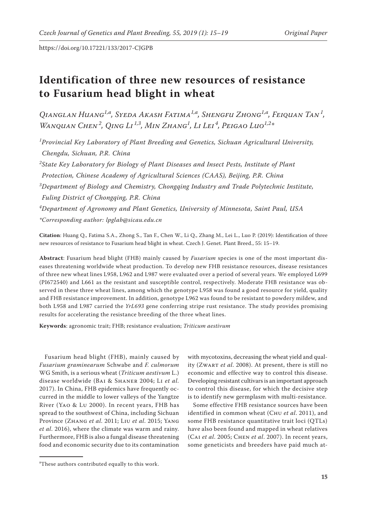# **Identification of three new resources of resistance to Fusarium head blight in wheat**

*Qianglan Huang1,a , Syeda Akash Fatima1,a , Shengfu Zhong1,a , Feiquan Tan<sup>1</sup> , Wanquan Chen<sup>2</sup> , Qing Li 1,3, Min Zhang1 , Li Lei <sup>4</sup> , Peigao Luo1,2\**

*1 Provincial Key Laboratory of Plant Breeding and Genetics, Sichuan Agricultural University, Chengdu, Sichuan, P.R. China*

*2 State Key Laboratory for Biology of Plant Diseases and Insect Pests, Institute of Plant Protection, Chinese Academy of Agricultural Sciences (CAAS), Beijing, P.R. China 3 Department of Biology and Chemistry, Chongqing Industry and Trade Polytechnic Institute,* 

*Fuling District of Chongqing, P.R. China*

*4 Department of Agronomy and Plant Genetics, University of Minnesota, Saint Paul, USA*

*\*Corresponding author: [lpglab@](mailto:lpglab@)sicau.edu.cn*

**Citation**: Huang Q., Fatima S.A., Zhong S., Tan F., Chen W., Li Q., Zhang M., Lei L., Luo P. (2019): Identification of three new resources of resistance to Fusarium head blight in wheat. Czech J. Genet. Plant Breed., 55: 15−19.

**Abstract**: Fusarium head blight (FHB) mainly caused by *Fusarium* species is one of the most important diseases threatening worldwide wheat production. To develop new FHB resistance resources, disease resistances of three new wheat lines L958, L962 and L987 were evaluated over a period of several years. We employed L699 (PI672540) and L661 as the resistant and susceptible control, respectively. Moderate FHB resistance was observed in these three wheat lines, among which the genotype L958 was found a good resource for yield, quality and FHB resistance improvement. In addition, genotype L962 was found to be resistant to powdery mildew, and both L958 and L987 carried the *YrL693* gene conferring stripe rust resistance. The study provides promising results for accelerating the resistance breeding of the three wheat lines.

**Keywords**: agronomic trait; FHB; resistance evaluation; *Triticum aestivum*

Fusarium head blight (FHB), mainly caused by *Fusarium graminearum* Schwabe and *F. culmorum* WG Smith, is a serious wheat (*Triticum aestivum* L.) disease worldwide (Bai & Shaner 2004; Li *et al.* 2017). In China, FHB epidemics have frequently occurred in the middle to lower valleys of the Yangtze River (Yao & Lu 2000). In recent years, FHB has spread to the southwest of China, including Sichuan Province (Zhang *et al*. 2011; Liu *et al*. 2015; Yang *et al*. 2016), where the climate was warm and rainy. Furthermore, FHB is also a fungal disease threatening food and economic security due to its contamination

with mycotoxins, decreasing the wheat yield and quality (Zwart *et al*. 2008). At present, there is still no economic and effective way to control this disease. Developing resistant cultivars is an important approach to control this disease, for which the decisive step is to identify new germplasm with multi-resistance.

Some effective FHB resistance sources have been identified in common wheat (Chu *et al*. 2011), and some FHB resistance quantitative trait loci (QTLs) have also been found and mapped in wheat relatives (Cai *et al*. 2005; Chen *et al*. 2007). In recent years, some geneticists and breeders have paid much at-

a These authors contributed equally to this work.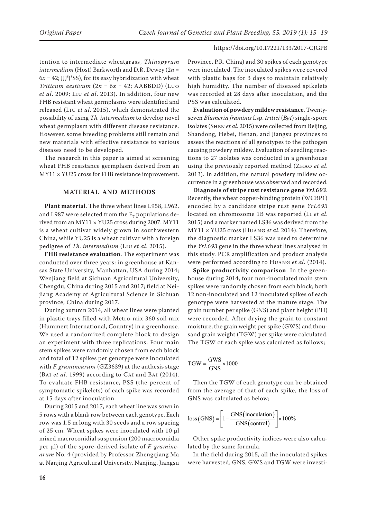tention to intermediate wheatgrass, *Thinopyrum intermedium* (Host) Barkworth and D.R. Dewey (2*n* =  $6x = 42$ ; JJJ<sup>s</sup>J<sup>s</sup>SS), for its easy hybridization with wheat *Triticum aestivum*  $(2n = 6x = 42; AABBDD)$  (Luo *et al*. 2009; Liu *et al*. 2013). In addition, four new FHB resistant wheat germplasms were identified and released (Liu *et al*. 2015), which demonstrated the possibility of using *Th. intermedium* to develop novel wheat germplasm with different disease resistance. However, some breeding problems still remain and new materials with effective resistance to various diseases need to be developed.

The research in this paper is aimed at screening wheat FHB resistance germplasm derived from an MY11 *×* YU25 cross for FHB resistance improvement.

## **MATERIAL AND METHODS**

**Plant material**. The three wheat lines L958, L962, and L987 were selected from the  $F<sub>7</sub>$  populations derived from an MY11 *×* YU25 cross during 2007. MY11 is a wheat cultivar widely grown in southwestern China, while YU25 is a wheat cultivar with a foreign pedigree of *Th. intermedium* (Liu *et al*. 2015).

**FHB resistance evaluation**. The experiment was conducted over three years: in greenhouse at Kansas State University, Manhattan, USA during 2014; Wenjiang field at Sichuan Agricultural University, Chengdu, China during 2015 and 2017; field at Neijiang Academy of Agricultural Science in Sichuan province, China during 2017.

During autumn 2014, all wheat lines were planted in plastic trays filled with Metro-mix 360 soil mix (Hummert International, Country) in a greenhouse. We used a randomized complete block to design an experiment with three replications. Four main stem spikes were randomly chosen from each block and total of 12 spikes per genotype were inoculated with *F. graminearum* (GZ3639) at the anthesis stage (Bai *et al*. 1999) according to Cai and Bai (2014). To evaluate FHB resistance, PSS (the percent of symptomatic spikelets) of each spike was recorded at 15 days after inoculation.

During 2015 and 2017, each wheat line was sown in 5 rows with a blank row between each genotype. Each row was 1.5 m long with 30 seeds and a row spacing of 25 cm. Wheat spikes were inoculated with 10 µl mixed macroconidial suspension (200 macroconidia per μl) of the spore-derived isolate of *F. graminearum* No. 4 (provided by Professor Zhengqiang Ma at Nanjing Agricultural University, Nanjing, Jiangsu

Province, P.R. China) and 30 spikes of each genotype were inoculated. The inoculated spikes were covered with plastic bags for 3 days to maintain relatively high humidity. The number of diseased spikelets was recorded at 28 days after inoculation, and the PSS was calculated.

**Evaluation of powdery mildew resistance**. Twentyseven *Blumeria framinis* f.sp. *tritici* (*Bgt*) single-spore isolates (Shen *et al*. 2015) were collected from Beijing, Shandong, Hebei, Henan, and Jiangsu provinces to assess the reactions of all genotypes to the pathogen causing powdery mildew. Evaluation of seedling reactions to 27 isolates was conducted in a greenhouse using the previously reported method (Zhao *et al*. 2013). In addition, the natural powdery mildew occurrence in a greenhouse was observed and recorded.

**Diagnosis of stripe rust resistance gene** *YrL693*. Recently, the wheat copper-binding protein (WCBP1) encoded by a candidate stripe rust gene *YrL693* located on chromosome 1B was reported (Li *et al*. 2015) and a marker named LS36 was derived from the MY11 × YU25 cross (Huang *et al*. 2014). Therefore, the diagnostic marker LS36 was used to determine the *YrL693* gene in the three wheat lines analysed in this study. PCR amplification and product analysis were performed according to Huang *et al*. (2014).

**Spike productivity comparison**. In the greenhouse during 2014, four non-inoculated main stem spikes were randomly chosen from each block; both 12 non-inoculated and 12 inoculated spikes of each genotype were harvested at the mature stage. The grain number per spike (GNS) and plant height (PH) were recorded. After drying the grain to constant moisture, the grain weight per spike (GWS) and thousand grain weight (TGW) per spike were calculated. The TGW of each spike was calculated as follows;

$$
TGW = \frac{GWS}{GNS} \times 1000
$$

Then the TGW of each genotype can be obtained from the average of that of each spike, the loss of GNS was calculated as below;

$$
loss(GNS) = \left[1 - \frac{GNS(inoculation)}{GNS(control)}\right] \times 100\%
$$

Other spike productivity indices were also calculated by the same formula.

In the field during 2015, all the inoculated spikes were harvested, GNS, GWS and TGW were investi-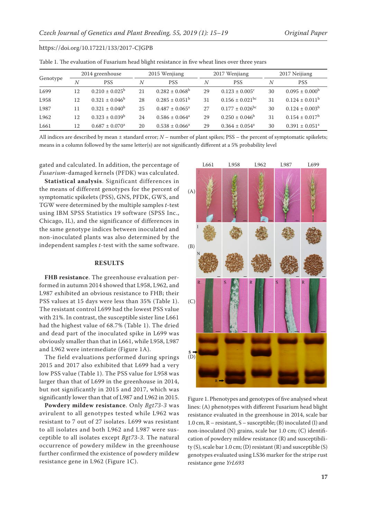| Table 1. The evaluation of Fusarium head blight resistance in five wheat lines over three years |  |  |  |
|-------------------------------------------------------------------------------------------------|--|--|--|
|                                                                                                 |  |  |  |

| Genotype | 2014 greenhouse |                           | 2015 Wenjiang  |                           |    | 2017 Wenjiang                   |    | 2017 Neijiang                  |  |
|----------|-----------------|---------------------------|----------------|---------------------------|----|---------------------------------|----|--------------------------------|--|
|          | $\overline{N}$  | <b>PSS</b>                | $\overline{N}$ | <b>PSS</b>                | N  | <b>PSS</b>                      | Ν  | <b>PSS</b>                     |  |
| L699     | 12              | $0.210 \pm 0.025^{\rm b}$ | 21             | $0.282 \pm 0.068^b$       | 29 | $0.123 \pm 0.005$ <sup>c</sup>  | 30 | $0.095 \pm 0.000^b$            |  |
| L958     | 12              | $0.321 \pm 0.046^b$       | 28             | $0.285 \pm 0.051^{\circ}$ | 31 | $0.156 \pm 0.021$ <sup>bc</sup> | 31 | $0.124 \pm 0.011^{\rm b}$      |  |
| L987     | 11              | $0.321 \pm 0.040^b$       | 25             | $0.487 \pm 0.065^a$       | 27 | $0.177 \pm 0.026$ <sup>bc</sup> | 30 | $0.124 \pm 0.003^b$            |  |
| L962     | 12              | $0.323 \pm 0.039^b$       | 24             | $0.586 \pm 0.064^a$       | 29 | $0.250 \pm 0.046^b$             | 31 | $0.154 \pm 0.017^b$            |  |
| L661     | 12              | $0.687 \pm 0.070^a$       | 20             | $0.538 \pm 0.066^a$       | 29 | $0.364 \pm 0.054^a$             | 30 | $0.391 \pm 0.051$ <sup>a</sup> |  |

All indices are described by mean ± standard error; *N* – number of plant spikes; PSS – the percent of symptomatic spikelets; means in a column followed by the same letter(s) are not significantly different at a 5% probability level

gated and calculated. In addition, the percentage of *Fusarium*-damaged kernels (PFDK) was calculated.

**Statistical analysis**. Significant differences in the means of different genotypes for the percent of symptomatic spikelets (PSS), GNS, PFDK, GWS, and TGW were determined by the multiple samples *t*-test using IBM SPSS Statistics 19 software (SPSS Inc., Chicago, IL), and the significance of differences in the same genotype indices between inoculated and non-inoculated plants was also determined by the independent samples *t*-test with the same software.

## **RESULTS**

**FHB resistance**. The greenhouse evaluation performed in autumn 2014 showed that L958, L962, and L987 exhibited an obvious resistance to FHB; their PSS values at 15 days were less than 35% (Table 1). The resistant control L699 had the lowest PSS value with 21%. In contrast, the susceptible sister line L661 had the highest value of 68.7% (Table 1). The dried and dead part of the inoculated spike in L699 was obviously smaller than that in L661, while L958, L987 and L962 were intermediate (Figure 1A).

The field evaluations performed during springs 2015 and 2017 also exhibited that L699 had a very low PSS value (Table 1). The PSS value for L958 was larger than that of L699 in the greenhouse in 2014, but not significantly in 2015 and 2017, which was significantly lower than that of L987 and L962 in 2015.

**Powdery mildew resistance**. Only *Bgt73-3* was avirulent to all genotypes tested while L962 was resistant to 7 out of 27 isolates. L699 was resistant to all isolates and both L962 and L987 were susceptible to all isolates except *Bgt73-3*. The natural occurrence of powdery mildew in the greenhouse further confirmed the existence of powdery mildew resistance gene in L962 (Figure 1C).



Figure 1. Phenotypes and genotypes of five analysed wheat lines: (A) phenotypes with different Fusarium head blight resistance evaluated in the greenhouse in 2014, scale bar 1.0 cm, R – resistant, S – susceptible; (B) inoculated (I) and non-inoculated (N) grains, scale bar 1.0 cm; (C) identification of powdery mildew resistance (R) and susceptibility (S), scale bar 1.0 cm; (D) resistant (R) and susceptible (S) genotypes evaluated using LS36 marker for the stripe rust resistance gene *YrL693*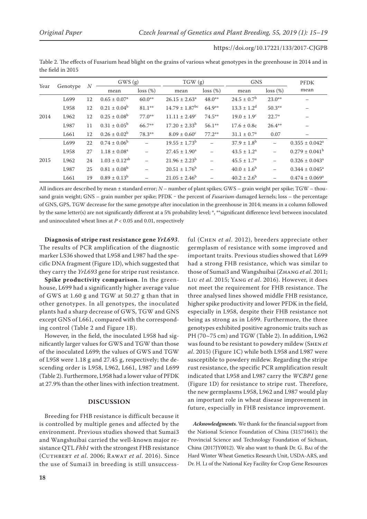| https://doi.org/10.17221/133/2017-CJGPB |  |
|-----------------------------------------|--|
|-----------------------------------------|--|

Table 2. The effects of Fusarium head blight on the grains of various wheat genotypes in the greenhouse in 2014 and in the field in 2015

| Year | Genotype | $\boldsymbol{N}$ | GWS (g)                 |             | TGW (g)                        |             | <b>GNS</b>             |                          | <b>PFDK</b>               |
|------|----------|------------------|-------------------------|-------------|--------------------------------|-------------|------------------------|--------------------------|---------------------------|
|      |          |                  | mean                    | $loss (\%)$ | mean                           | $loss (\%)$ | mean                   | loss (%)                 | mean                      |
| 2014 | L699     | 12               | $0.65 \pm 0.07^{\rm a}$ | $60.0**$    | $26.15 \pm 2.63^a$             | $48.0**$    | $24.5 \pm 0.7^{\rm b}$ | $23.0**$                 |                           |
|      | L958     | 12               | $0.21 \pm 0.04^b$       | $81.1***$   | $14.79 \pm 1.87$ <sup>bc</sup> | $64.9**$    | $13.3 \pm 1.2^d$       | $50.3**$                 |                           |
|      | L962     | 12               | $0.25 \pm 0.08^{\rm b}$ | $77.0**$    | $11.11 \pm 2.49^c$             | $74.5***$   | $19.0 \pm 1.9^{\circ}$ | $22.7*$                  |                           |
|      | L987     | 11               | $0.31 \pm 0.05^{\circ}$ | 66.7**      | $17.20 \pm 2.33^b$             | $56.1***$   | $17.6 \pm 0.8c$        | $26.4***$                |                           |
|      | L661     | 12               | $0.26 \pm 0.02^b$       | 78.3**      | $8.09 \pm 0.60^{\circ}$        | $77.2**$    | $31.1 \pm 0.7^{\rm a}$ | 0.07                     |                           |
| 2015 | L699     | 22               | $0.74 \pm 0.06^{\rm b}$ |             | $19.55 \pm 1.73^{\rm b}$       |             | $37.9 \pm 1.8^{\rm b}$ |                          | $0.355 \pm 0.042^a$       |
|      | L958     | 27               | $1.18 \pm 0.08^a$       |             | $27.45 \pm 1.90^a$             |             | $43.5 \pm 1.2^a$       | $\overline{\phantom{0}}$ | $0.279 \pm 0.041^{\rm b}$ |
|      | L962     | 24               | $1.03 \pm 0.12^{ab}$    |             | $21.96 \pm 2.23^b$             |             | $45.5 \pm 1.7^{\circ}$ |                          | $0.326 \pm 0.043^a$       |
|      | L987     | 25               | $0.81 \pm 0.08^{\rm b}$ |             | $20.51 \pm 1.76^b$             |             | $40.0 \pm 1.6^b$       | $\overline{\phantom{0}}$ | $0.344 \pm 0.045^a$       |
|      | L661     | 19               | $0.89 \pm 0.13^b$       |             | $21.05 \pm 2.46^b$             |             | $40.2 \pm 2.6^{\rm b}$ |                          | $0.474 \pm 0.069^a$       |

All indices are described by mean ± standard error; *N* – number of plant spikes; GWS – grain weight per spike; TGW – thousand grain weight; GNS – grain number per spike; PFDK - the percent of *Fusarium*-damaged kernels; loss – the percentage of GNS, GPS, TGW decrease for the same genotype after inoculation in the greenhouse in 2014; means in a column followed by the same letter(s) are not significantly different at a 5% probability level; \*, \*\*significant difference level between inoculated and uninoculated wheat lines at *P* < 0.05 and 0.01, respectively

**Diagnosis of stripe rust resistance gene** *YrL693*. The results of PCR amplification of the diagnostic marker LS36 showed that L958 and L987 had the specific DNA fragment (Figure 1D), which suggested that they carry the *YrL693* gene for stripe rust resistance.

**Spike productivity comparison**. In the greenhouse, L699 had a significantly higher average value of GWS at 1.60 g and TGW at 50.27 g than that in other genotypes. In all genotypes, the inoculated plants had a sharp decrease of GWS, TGW and GNS except GNS of L661, compared with the corresponding control (Table 2 and Figure 1B).

However, in the field, the inoculated L958 had significantly larger values for GWS and TGW than those of the inoculated L699; the values of GWS and TGW of L958 were 1.18 g and 27.45 g, respectively; the descending order is L958, L962, L661, L987 and L699 (Table 2). Furthermore, L958 had a lower value of PFDK at 27.9% than the other lines with infection treatment.

## **DISCUSSION**

Breeding for FHB resistance is difficult because it is controlled by multiple genes and affected by the environment. Previous studies showed that Sumai3 and Wangshuibai carried the well-known major resistance QTL *Fhb1* with the strongest FHB resistance (Cuthbert *et al*. 2006; Rawat *et al*. 2016). Since the use of Sumai3 in breeding is still unsuccess-

ful (Chen *et al*. 2012), breeders appreciate other germplasm of resistance with some improved and important traits. Previous studies showed that L699 had a strong FHB resistance, which was similar to those of Sumai3 and Wangshuibai (Zhang *et al*. 2011; Liu *et al*. 2015; Yang *et al*. 2016). However, it does not meet the requirement for FHB resistance. The three analysed lines showed middle FHB resistance, higher spike productivity and lower PFDK in the field, especially in L958, despite their FHB resistance not being as strong as in L699. Furthermore, the three genotypes exhibited positive agronomic traits such as PH (70~75 cm) and TGW (Table 2). In addition, L962 was found to be resistant to powdery mildew (Shen *et al*. 2015) (Figure 1C) while both L958 and L987 were susceptible to powdery mildew. Regarding the stripe rust resistance, the specific PCR amplification result indicated that L958 and L987 carry the *WCBP1* gene (Figure 1D) for resistance to stripe rust. Therefore, the new germplasms L958, L962 and L987 would play an important role in wheat disease improvement in future, especially in FHB resistance improvement.

*Acknowledgments*. We thank for the financial support from the National Science Foundation of China (31571661); the Provincial Science and Technology Foundation of Sichuan, China (2017JY0012). We also want to thank Dr. G. Bai of the Hard Winter Wheat Genetics Research Unit, USDA-ARS, and Dr. H. Li of the National Key Facility for Crop Gene Resources